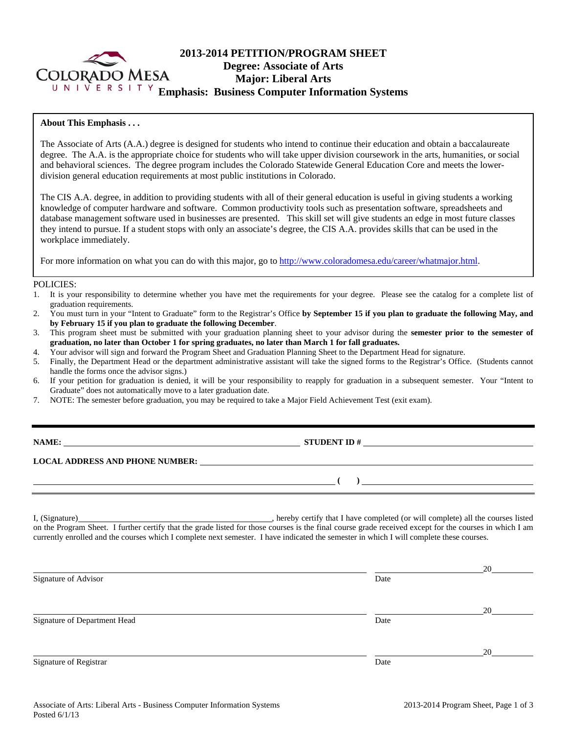

# **2013-2014 PETITION/PROGRAM SHEET Degree: Associate of Arts Major: Liberal Arts**  UNIVERSITY **Emphasis: Business Computer Information Systems**

### **About This Emphasis . . .**

The Associate of Arts (A.A.) degree is designed for students who intend to continue their education and obtain a baccalaureate degree. The A.A. is the appropriate choice for students who will take upper division coursework in the arts, humanities, or social and behavioral sciences. The degree program includes the Colorado Statewide General Education Core and meets the lowerdivision general education requirements at most public institutions in Colorado.

The CIS A.A. degree, in addition to providing students with all of their general education is useful in giving students a working knowledge of computer hardware and software. Common productivity tools such as presentation software, spreadsheets and database management software used in businesses are presented. This skill set will give students an edge in most future classes they intend to pursue. If a student stops with only an associate's degree, the CIS A.A. provides skills that can be used in the workplace immediately.

For more information on what you can do with this major, go to http://www.coloradomesa.edu/career/whatmajor.html.

#### POLICIES:

- 1. It is your responsibility to determine whether you have met the requirements for your degree. Please see the catalog for a complete list of graduation requirements.
- 2. You must turn in your "Intent to Graduate" form to the Registrar's Office **by September 15 if you plan to graduate the following May, and by February 15 if you plan to graduate the following December**.
- 3. This program sheet must be submitted with your graduation planning sheet to your advisor during the **semester prior to the semester of graduation, no later than October 1 for spring graduates, no later than March 1 for fall graduates.**
- 4. Your advisor will sign and forward the Program Sheet and Graduation Planning Sheet to the Department Head for signature.
- 5. Finally, the Department Head or the department administrative assistant will take the signed forms to the Registrar's Office. (Students cannot handle the forms once the advisor signs.)
- 6. If your petition for graduation is denied, it will be your responsibility to reapply for graduation in a subsequent semester. Your "Intent to Graduate" does not automatically move to a later graduation date.
- 7. NOTE: The semester before graduation, you may be required to take a Major Field Achievement Test (exit exam).

| д | V<br>1<br>. .<br>. . |
|---|----------------------|
|   |                      |

**NAMES IN STUDENT ID #** 

 **( )** 

**LOCAL ADDRESS AND PHONE NUMBER:**

I, (Signature) , hereby certify that I have completed (or will complete) all the courses listed on the Program Sheet. I further certify that the grade listed for those courses is the final course grade received except for the courses in which I am currently enrolled and the courses which I complete next semester. I have indicated the semester in which I will complete these courses.

|                              |      | 20 |
|------------------------------|------|----|
| Signature of Advisor         | Date |    |
|                              |      | 20 |
| Signature of Department Head | Date |    |
|                              |      | 20 |
| Signature of Registrar       | Date |    |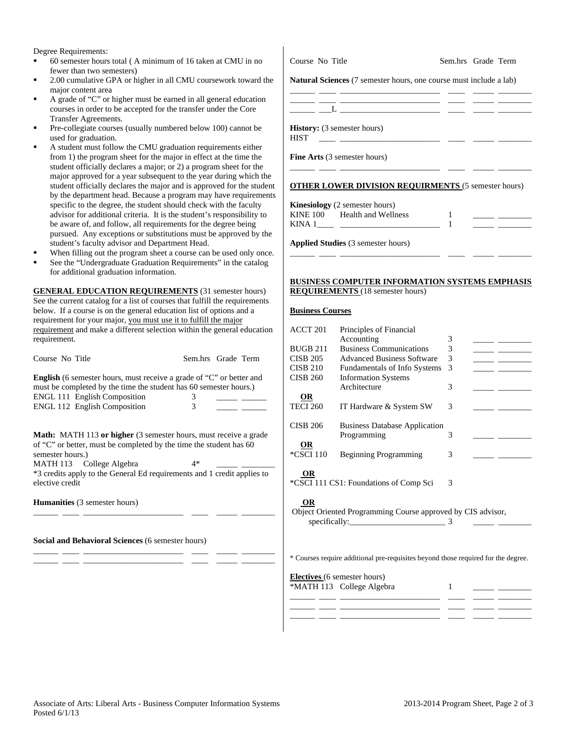Degree Requirements:

- 60 semester hours total ( A minimum of 16 taken at CMU in no fewer than two semesters)
- 2.00 cumulative GPA or higher in all CMU coursework toward the major content area
- A grade of "C" or higher must be earned in all general education courses in order to be accepted for the transfer under the Core Transfer Agreements.
- Pre-collegiate courses (usually numbered below 100) cannot be used for graduation.
- A student must follow the CMU graduation requirements either from 1) the program sheet for the major in effect at the time the student officially declares a major; or 2) a program sheet for the major approved for a year subsequent to the year during which the student officially declares the major and is approved for the student by the department head. Because a program may have requirements specific to the degree, the student should check with the faculty advisor for additional criteria. It is the student's responsibility to be aware of, and follow, all requirements for the degree being pursued. Any exceptions or substitutions must be approved by the student's faculty advisor and Department Head.
- When filling out the program sheet a course can be used only once.
- See the "Undergraduate Graduation Requirements" in the catalog for additional graduation information.

**GENERAL EDUCATION REQUIREMENTS** (31 semester hours) See the current catalog for a list of courses that fulfill the requirements below. If a course is on the general education list of options and a requirement for your major, you must use it to fulfill the major requirement and make a different selection within the general education requirement.

| Course No Title                                                                                                                                                                                                                                                                             |        | Sem.hrs Grade Term |
|---------------------------------------------------------------------------------------------------------------------------------------------------------------------------------------------------------------------------------------------------------------------------------------------|--------|--------------------|
| <b>English</b> (6 semester hours, must receive a grade of "C" or better and<br>must be completed by the time the student has 60 semester hours.)<br><b>ENGL 111 English Composition</b><br><b>ENGL 112 English Composition</b>                                                              | 3<br>3 |                    |
| <b>Math:</b> MATH 113 or higher (3 semester hours, must receive a grade<br>of "C" or better, must be completed by the time the student has 60<br>semester hours.)<br>MATH 113 College Algebra<br>*3 credits apply to the General Ed requirements and 1 credit applies to<br>elective credit | 4*     |                    |
| <b>Humanities</b> (3 semester hours)                                                                                                                                                                                                                                                        |        |                    |
|                                                                                                                                                                                                                                                                                             |        |                    |

\_\_\_\_\_\_ \_\_\_\_ \_\_\_\_\_\_\_\_\_\_\_\_\_\_\_\_\_\_\_\_\_\_\_\_ \_\_\_\_ \_\_\_\_\_ \_\_\_\_\_\_\_\_ \_\_\_\_\_\_ \_\_\_\_ \_\_\_\_\_\_\_\_\_\_\_\_\_\_\_\_\_\_\_\_\_\_\_\_ \_\_\_\_ \_\_\_\_\_ \_\_\_\_\_\_\_\_

**Social and Behavioral Sciences** (6 semester hours)

Course No Title Sem.hrs Grade Term

**Natural Sciences** (7 semester hours, one course must include a lab)

\_\_\_\_\_\_ \_\_\_\_ \_\_\_\_\_\_\_\_\_\_\_\_\_\_\_\_\_\_\_\_\_\_\_\_ \_\_\_\_ \_\_\_\_\_ \_\_\_\_\_\_\_\_

\_\_\_\_\_\_ \_\_\_\_ \_\_\_\_\_\_\_\_\_\_\_\_\_\_\_\_\_\_\_\_\_\_\_\_ \_\_\_\_ \_\_\_\_\_ \_\_\_\_\_\_\_\_  $\_\_$   $\_\_$ 

**History:** (3 semester hours)

HIST \_\_\_\_ \_\_\_\_\_\_\_\_\_\_\_\_\_\_\_\_\_\_\_\_\_\_\_\_ \_\_\_\_ \_\_\_\_\_ \_\_\_\_\_\_\_\_

**Fine Arts** (3 semester hours)

#### **OTHER LOWER DIVISION REQUIRMENTS** (5 semester hours)

\_\_\_\_\_\_ \_\_\_\_ \_\_\_\_\_\_\_\_\_\_\_\_\_\_\_\_\_\_\_\_\_\_\_\_ \_\_\_\_ \_\_\_\_\_ \_\_\_\_\_\_\_\_

**Kinesiology** (2 semester hours) KINE 100 Health and Wellness 1 KINA 1\_\_\_\_ \_\_\_\_\_\_\_\_\_\_\_\_\_\_\_\_\_\_\_\_\_\_\_\_ 1 \_\_\_\_\_ \_\_\_\_\_\_\_\_

**Applied Studies** (3 semester hours)

#### **BUSINESS COMPUTER INFORMATION SYSTEMS EMPHASIS REQUIREMENTS** (18 semester hours)

\_\_\_\_\_\_ \_\_\_\_ \_\_\_\_\_\_\_\_\_\_\_\_\_\_\_\_\_\_\_\_\_\_\_\_ \_\_\_\_ \_\_\_\_\_ \_\_\_\_\_\_\_\_

### **Business Courses**

| ACCT 201        | Principles of Financial                                     |   |  |
|-----------------|-------------------------------------------------------------|---|--|
|                 | Accounting                                                  | 3 |  |
| <b>BUGB 211</b> | <b>Business Communications</b>                              | 3 |  |
| <b>CISB 205</b> | <b>Advanced Business Software</b>                           | 3 |  |
| <b>CISB 210</b> | <b>Fundamentals of Info Systems</b>                         | 3 |  |
| <b>CISB 260</b> | <b>Information Systems</b>                                  |   |  |
|                 | Architecture                                                | 3 |  |
| <b>OR</b>       |                                                             |   |  |
| <b>TECI 260</b> | IT Hardware & System SW                                     | 3 |  |
|                 |                                                             |   |  |
| <b>CISB 206</b> | <b>Business Database Application</b>                        |   |  |
|                 | Programming                                                 | 3 |  |
| ОR              |                                                             |   |  |
| *CSCI 110       | <b>Beginning Programming</b>                                | 3 |  |
|                 |                                                             |   |  |
| OR              |                                                             |   |  |
|                 | *CSCI 111 CS1: Foundations of Comp Sci                      | 3 |  |
|                 |                                                             |   |  |
| OR              |                                                             |   |  |
|                 | Object Oriented Programming Course approved by CIS advisor, |   |  |
|                 | specifically:                                               | 3 |  |
|                 |                                                             |   |  |
|                 |                                                             |   |  |
|                 |                                                             |   |  |

\* Courses require additional pre-requisites beyond those required for the degree.

\_\_\_\_\_\_ \_\_\_\_ \_\_\_\_\_\_\_\_\_\_\_\_\_\_\_\_\_\_\_\_\_\_\_\_ \_\_\_\_ \_\_\_\_\_ \_\_\_\_\_\_\_\_ \_\_\_\_\_\_ \_\_\_\_ \_\_\_\_\_\_\_\_\_\_\_\_\_\_\_\_\_\_\_\_\_\_\_\_ \_\_\_\_ \_\_\_\_\_ \_\_\_\_\_\_\_\_ \_\_\_\_\_\_ \_\_\_\_ \_\_\_\_\_\_\_\_\_\_\_\_\_\_\_\_\_\_\_\_\_\_\_\_ \_\_\_\_ \_\_\_\_\_ \_\_\_\_\_\_\_\_

**Electives** (6 semester hours)

\*MATH 113 College Algebra 1